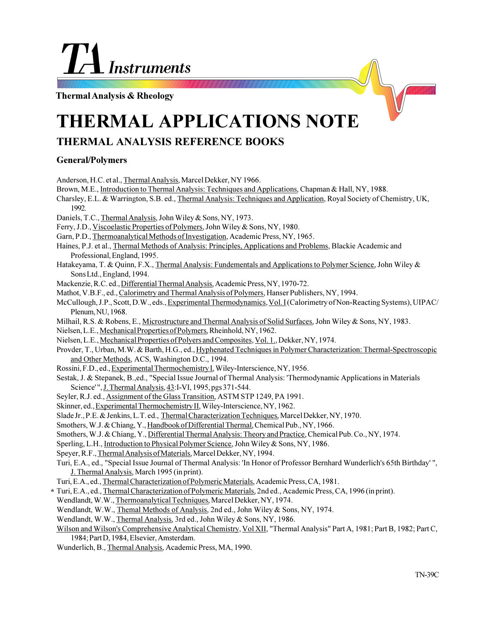# **Instruments**

**Thermal Analysis & Rheology**

# **THERMAL APPLICATIONS NOTE**

# **THERMAL ANALYSIS REFERENCE BOOKS**

### **General/Polymers**

Anderson, H.C. et al., Thermal Analysis, Marcel Dekker, NY 1966. Brown, M.E., Introduction to Thermal Analysis: Techniques and Applications, Chapman & Hall, NY, 1988. Charsley, E.L. & Warrington, S.B. ed., Thermal Analysis: Techniques and Application, Royal Society of Chemistry, UK, 1992. Daniels, T.C., Thermal Analysis, John Wiley & Sons, NY, 1973. Ferry, J.D., Viscoelastic Properties of Polymers, John Wiley & Sons, NY, 1980. Garn, P.D., Thermoanalytical Methods of Investigation, Academic Press, NY, 1965. Haines, P.J. et al., Thermal Methods of Analysis: Principles, Applications and Problems, Blackie Academic and Professional, England, 1995. Hatakeyama, T. & Quinn, F.X., Thermal Analysis: Fundementals and Applications to Polymer Science, John Wiley & Sons Ltd., England, 1994. Mackenzie, R.C. ed., Differential Thermal Analysis, Academic Press, NY, 1970-72. Mathot, V.B.F., ed., Calorimetry and Thermal Analysis of Polymers, Hanser Publishers, NY, 1994. McCullough, J.P., Scott, D.W., eds., Experimental Thermodynamics, Vol. I (Calorimetry of Non-Reacting Systems), UIPAC/ Plenum, NU, 1968. Milhail, R.S. & Robens, E., Microstructure and Thermal Analysis of Solid Surfaces, John Wiley & Sons, NY, 1983. Nielsen, L.E., Mechanical Properties of Polymers, Rheinhold, NY, 1962. Nielsen, L.E., Mechanical Properties of Polyers and Composites, Vol. 1., Dekker, NY, 1974. Provder, T., Urban, M.W. & Barth, H.G., ed., Hyphenated Techniques in Polymer Characterization: Thermal-Spectroscopic and Other Methods, ACS, Washington D.C., 1994. Rossini, F.D., ed., Experimental Thermochemistry I, Wiley-Interscience, NY, 1956. Sestak, J. & Stepanek, B.,ed., "Special Issue Journal of Thermal Analysis: 'Thermodynamic Applications in Materials Science' ", J. Thermal Analysis, 43:I-VI, 1995, pgs 371-544. Seyler, R.J. ed., Assignment of the Glass Transition, ASTM STP 1249, PA 1991. Skinner, ed., Experimental Thermochemistry II, Wiley-Interscience, NY, 1962. Slade Jr., P.E. & Jenkins, L.T. ed., Thermal Characterization Techniques, Marcel Dekker, NY, 1970. Smothers, W.J. & Chiang, Y., Handbook of Differential Thermal, Chemical Pub., NY, 1966. Smothers, W.J. & Chiang, Y., Differential Thermal Analysis: Theory and Practice, Chemical Pub. Co., NY, 1974. Sperling, L.H., Introduction to Physical Polymer Science, John Wiley & Sons, NY, 1986. Speyer, R.F., Thermal Analysis of Materials, Marcel Dekker, NY, 1994. Turi, E.A., ed., "Special Issue Journal of Thermal Analysis: 'In Honor of Professor Bernhard Wunderlich's 65th Birthday' ", J. Thermal Analysis, March 1995 (in print). Turi, E.A., ed., Thermal Characterization of Polymeric Materials, Academic Press, CA, 1981. Turi, E.A., ed., Thermal Characterization of Polymeric Materials, 2nd ed., Academic Press, CA, 1996 (in print). **\***Wendlandt, W.W., Thermoanalytical Techniques, Marcel Dekker, NY, 1974. Wendlandt, W.W., Themal Methods of Analysis, 2nd ed., John Wiley & Sons, NY, 1974. Wendlandt, W.W., Thermal Analysis, 3rd ed., John Wiley & Sons, NY, 1986. Wilson and Wilson's Comprehensive Analytical Chemistry, Vol XII, "Thermal Analysis" Part A, 1981; Part B, 1982; Part C, 1984; Part D, 1984, Elsevier, Amsterdam. Wunderlich, B., Thermal Analysis, Academic Press, MA, 1990.